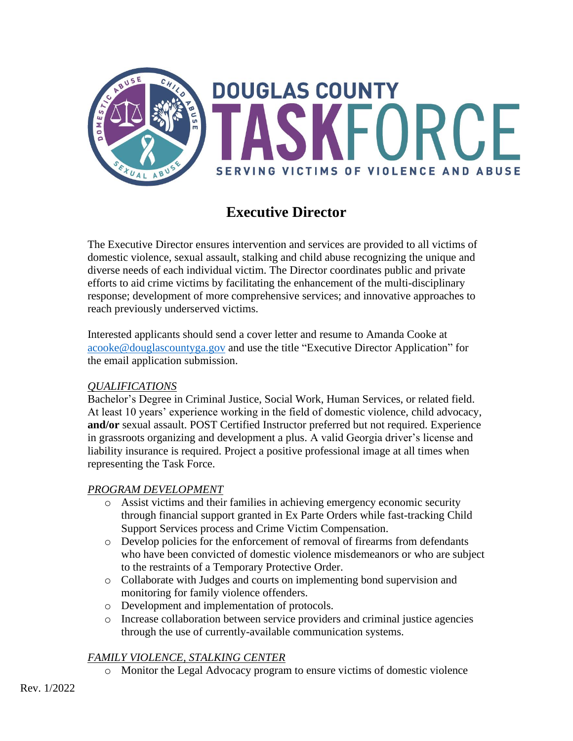

# **Executive Director**

The Executive Director ensures intervention and services are provided to all victims of domestic violence, sexual assault, stalking and child abuse recognizing the unique and diverse needs of each individual victim. The Director coordinates public and private efforts to aid crime victims by facilitating the enhancement of the multi-disciplinary response; development of more comprehensive services; and innovative approaches to reach previously underserved victims.

Interested applicants should send a cover letter and resume to Amanda Cooke at [acooke@douglascountyga.gov](mailto:acooke@douglascountyga.gov) and use the title "Executive Director Application" for the email application submission.

#### *QUALIFICATIONS*

Bachelor's Degree in Criminal Justice, Social Work, Human Services, or related field. At least 10 years' experience working in the field of domestic violence, child advocacy, **and/or** sexual assault. POST Certified Instructor preferred but not required. Experience in grassroots organizing and development a plus. A valid Georgia driver's license and liability insurance is required. Project a positive professional image at all times when representing the Task Force.

### *PROGRAM DEVELOPMENT*

- o Assist victims and their families in achieving emergency economic security through financial support granted in Ex Parte Orders while fast-tracking Child Support Services process and Crime Victim Compensation.
- $\circ$  Develop policies for the enforcement of removal of firearms from defendants who have been convicted of domestic violence misdemeanors or who are subject to the restraints of a Temporary Protective Order.
- o Collaborate with Judges and courts on implementing bond supervision and monitoring for family violence offenders.
- o Development and implementation of protocols.
- o Increase collaboration between service providers and criminal justice agencies through the use of currently-available communication systems.

## *FAMILY VIOLENCE, STALKING CENTER*

o Monitor the Legal Advocacy program to ensure victims of domestic violence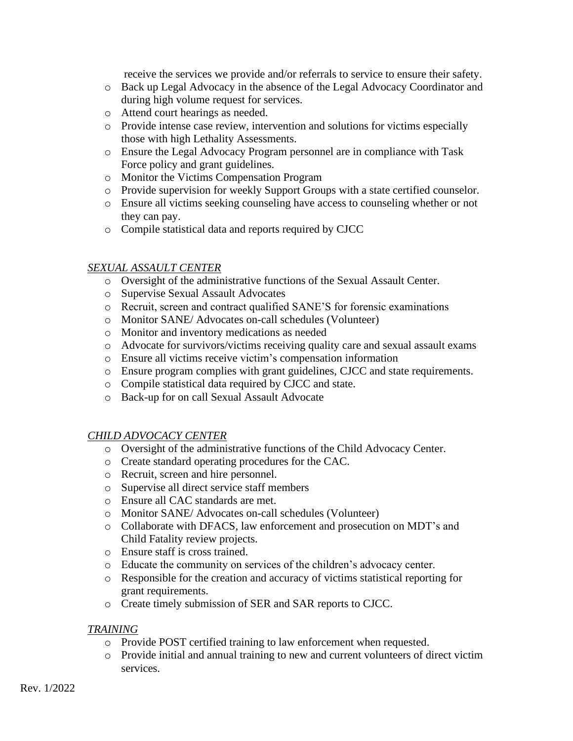receive the services we provide and/or referrals to service to ensure their safety.

- o Back up Legal Advocacy in the absence of the Legal Advocacy Coordinator and during high volume request for services.
- o Attend court hearings as needed.
- o Provide intense case review, intervention and solutions for victims especially those with high Lethality Assessments.
- o Ensure the Legal Advocacy Program personnel are in compliance with Task Force policy and grant guidelines.
- o Monitor the Victims Compensation Program
- o Provide supervision for weekly Support Groups with a state certified counselor.
- o Ensure all victims seeking counseling have access to counseling whether or not they can pay.
- o Compile statistical data and reports required by CJCC

#### *SEXUAL ASSAULT CENTER*

- o Oversight of the administrative functions of the Sexual Assault Center.
- o Supervise Sexual Assault Advocates
- o Recruit, screen and contract qualified SANE'S for forensic examinations
- o Monitor SANE/ Advocates on-call schedules (Volunteer)
- o Monitor and inventory medications as needed
- o Advocate for survivors/victims receiving quality care and sexual assault exams
- o Ensure all victims receive victim's compensation information
- o Ensure program complies with grant guidelines, CJCC and state requirements.
- o Compile statistical data required by CJCC and state.
- o Back-up for on call Sexual Assault Advocate

#### *CHILD ADVOCACY CENTER*

- o Oversight of the administrative functions of the Child Advocacy Center.
- o Create standard operating procedures for the CAC.
- o Recruit, screen and hire personnel.
- o Supervise all direct service staff members
- o Ensure all CAC standards are met.
- o Monitor SANE/ Advocates on-call schedules (Volunteer)
- o Collaborate with DFACS, law enforcement and prosecution on MDT's and Child Fatality review projects.
- o Ensure staff is cross trained.
- o Educate the community on services of the children's advocacy center.
- o Responsible for the creation and accuracy of victims statistical reporting for grant requirements.
- o Create timely submission of SER and SAR reports to CJCC.

#### *TRAINING*

- o Provide POST certified training to law enforcement when requested.
- o Provide initial and annual training to new and current volunteers of direct victim services.